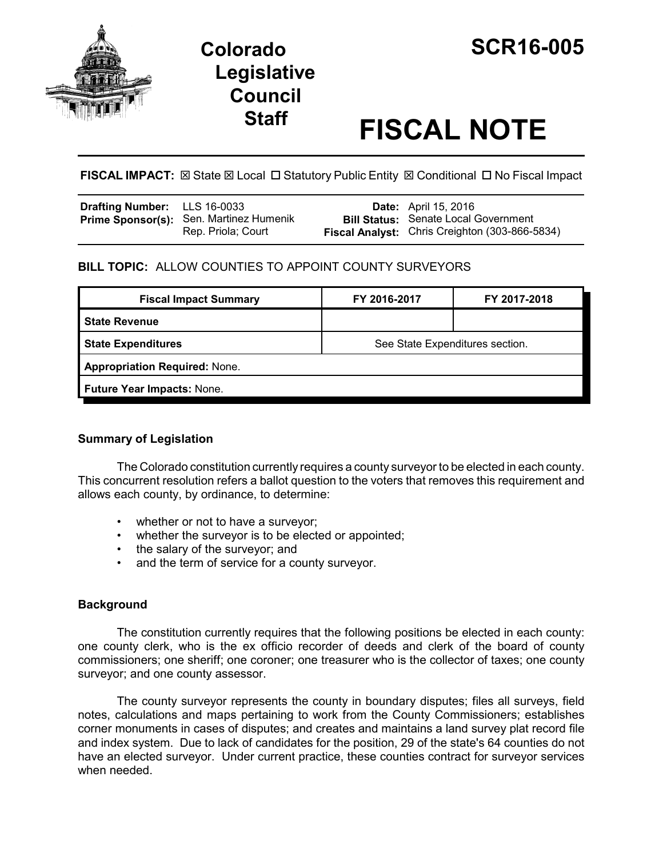

# **Legislative Council**

## **Staff FISCAL NOTE**

**FISCAL IMPACT:**  $\boxtimes$  **State**  $\boxtimes$  **Local □ Statutory Public Entity**  $\boxtimes$  **Conditional □ No Fiscal Impact** 

| <b>Drafting Number:</b> LLS 16-0033 |                                                                      | <b>Date:</b> April 15, 2016                                                                          |
|-------------------------------------|----------------------------------------------------------------------|------------------------------------------------------------------------------------------------------|
|                                     | <b>Prime Sponsor(s):</b> Sen. Martinez Humenik<br>Rep. Priola; Court | <b>Bill Status: Senate Local Government</b><br><b>Fiscal Analyst:</b> Chris Creighton (303-866-5834) |

#### **BILL TOPIC:** ALLOW COUNTIES TO APPOINT COUNTY SURVEYORS

| FY 2016-2017                         | FY 2017-2018 |  |  |  |
|--------------------------------------|--------------|--|--|--|
|                                      |              |  |  |  |
| See State Expenditures section.      |              |  |  |  |
| <b>Appropriation Required: None.</b> |              |  |  |  |
| Future Year Impacts: None.           |              |  |  |  |
|                                      |              |  |  |  |

#### **Summary of Legislation**

The Colorado constitution currently requires a county surveyor to be elected in each county. This concurrent resolution refers a ballot question to the voters that removes this requirement and allows each county, by ordinance, to determine:

- whether or not to have a surveyor;
- whether the surveyor is to be elected or appointed;
- the salary of the surveyor; and
- and the term of service for a county surveyor.

#### **Background**

The constitution currently requires that the following positions be elected in each county: one county clerk, who is the ex officio recorder of deeds and clerk of the board of county commissioners; one sheriff; one coroner; one treasurer who is the collector of taxes; one county surveyor; and one county assessor.

The county surveyor represents the county in boundary disputes; files all surveys, field notes, calculations and maps pertaining to work from the County Commissioners; establishes corner monuments in cases of disputes; and creates and maintains a land survey plat record file and index system. Due to lack of candidates for the position, 29 of the state's 64 counties do not have an elected surveyor. Under current practice, these counties contract for surveyor services when needed.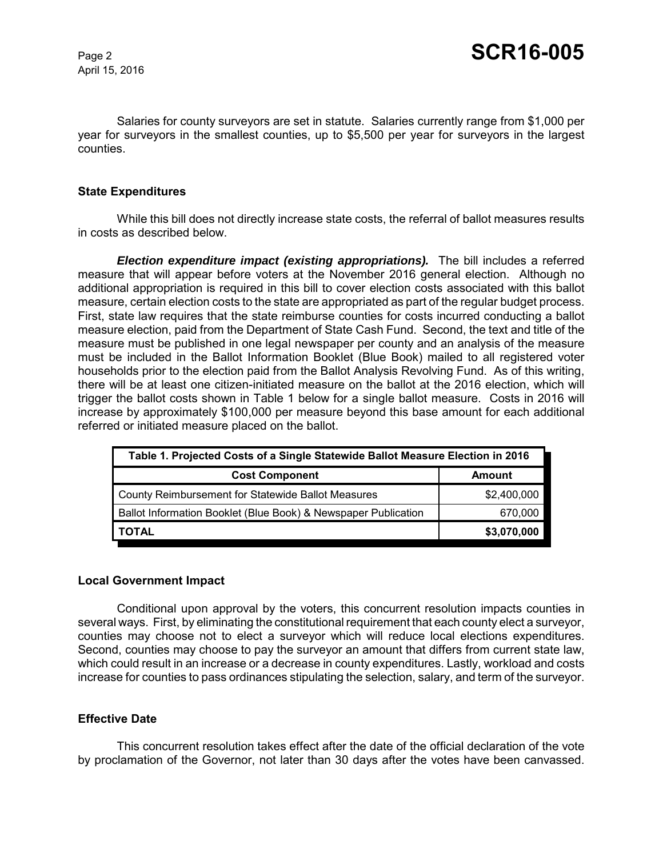April 15, 2016

Salaries for county surveyors are set in statute. Salaries currently range from \$1,000 per year for surveyors in the smallest counties, up to \$5,500 per year for surveyors in the largest counties.

#### **State Expenditures**

While this bill does not directly increase state costs, the referral of ballot measures results in costs as described below.

*Election expenditure impact (existing appropriations).* The bill includes a referred measure that will appear before voters at the November 2016 general election. Although no additional appropriation is required in this bill to cover election costs associated with this ballot measure, certain election costs to the state are appropriated as part of the regular budget process. First, state law requires that the state reimburse counties for costs incurred conducting a ballot measure election, paid from the Department of State Cash Fund. Second, the text and title of the measure must be published in one legal newspaper per county and an analysis of the measure must be included in the Ballot Information Booklet (Blue Book) mailed to all registered voter households prior to the election paid from the Ballot Analysis Revolving Fund. As of this writing, there will be at least one citizen-initiated measure on the ballot at the 2016 election, which will trigger the ballot costs shown in Table 1 below for a single ballot measure. Costs in 2016 will increase by approximately \$100,000 per measure beyond this base amount for each additional referred or initiated measure placed on the ballot.

| Table 1. Projected Costs of a Single Statewide Ballot Measure Election in 2016 |             |  |  |
|--------------------------------------------------------------------------------|-------------|--|--|
| <b>Cost Component</b>                                                          | Amount      |  |  |
| County Reimbursement for Statewide Ballot Measures                             | \$2,400,000 |  |  |
| Ballot Information Booklet (Blue Book) & Newspaper Publication                 | 670,000     |  |  |
| TOTAL                                                                          | \$3,070,000 |  |  |

#### **Local Government Impact**

Conditional upon approval by the voters, this concurrent resolution impacts counties in several ways. First, by eliminating the constitutional requirement that each county elect a surveyor, counties may choose not to elect a surveyor which will reduce local elections expenditures. Second, counties may choose to pay the surveyor an amount that differs from current state law, which could result in an increase or a decrease in county expenditures. Lastly, workload and costs increase for counties to pass ordinances stipulating the selection, salary, and term of the surveyor.

#### **Effective Date**

This concurrent resolution takes effect after the date of the official declaration of the vote by proclamation of the Governor, not later than 30 days after the votes have been canvassed.